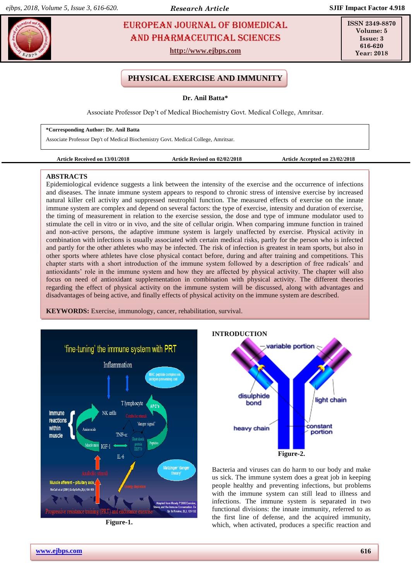# **BARGARY EUROPEAN JOURNAL OF BIOMEDICAL AND RESS ASSESSMENT AND RESS ASSESSMENT AND RESS ASSESSMENT AND RESS ASSESSMENT AND RESS ASSESSMENT AND RESS ASSESSMENT AND RESPONDENT AND RESPONDENT AND RESPONDENT AND RESPONDENT AS** AND Pharmaceutical sciences

**http://www.ejbps.com**

**ISSN 2349-8870 Volume: 5 Issue: 3 616-620 Year: 2018**

# **PHYSICAL EXERCISE AND IMMUNITY**

**Dr. Anil Batta\***

Associate Professor Dep't of Medical Biochemistry Govt. Medical College, Amritsar.

**\*Corresponding Author: Dr. Anil Batta**

Associate Professor Dep't of Medical Biochemistry Govt. Medical College, Amritsar.

```
Article Received on 13/01/2018 Article Revised on 02/02/2018 Article Accepted on 23/02/2018
```
## **ABSTRACTS**

Epidemiological evidence suggests a link between the intensity of the exercise and the occurrence of infections and diseases. The innate immune system appears to respond to chronic stress of intensive exercise by increased natural killer cell activity and suppressed neutrophil function. The measured effects of exercise on the innate immune system are complex and depend on several factors: the type of exercise, intensity and duration of exercise, the timing of measurement in relation to the exercise session, the dose and type of immune modulator used to stimulate the cell in vitro or in vivo, and the site of cellular origin. When comparing immune function in trained and non-active persons, the adaptive immune system is largely unaffected by exercise. Physical activity in combination with infections is usually associated with certain medical risks, partly for the person who is infected and partly for the other athletes who may be infected. The risk of infection is greatest in team sports, but also in other sports where athletes have close physical contact before, during and after training and competitions. This chapter starts with a short introduction of the immune system followed by a description of free radicals' and antioxidants' role in the immune system and how they are affected by physical activity. The chapter will also focus on need of antioxidant supplementation in combination with physical activity. The different theories regarding the effect of physical activity on the immune system will be discussed, along with advantages and disadvantages of being active, and finally effects of physical activity on the immune system are described.

**KEYWORDS:** Exercise, immunology, cancer, rehabilitation, survival.



**Figure-1.**

**INTRODUCTION**



Bacteria and viruses can do harm to our body and make us sick. The immune system does a great job in keeping people healthy and preventing infections, but problems with the immune system can still lead to illness and infections. The immune system is separated in two functional divisions: the innate immunity, referred to as the first line of defense, and the acquired immunity, which, when activated, produces a specific reaction and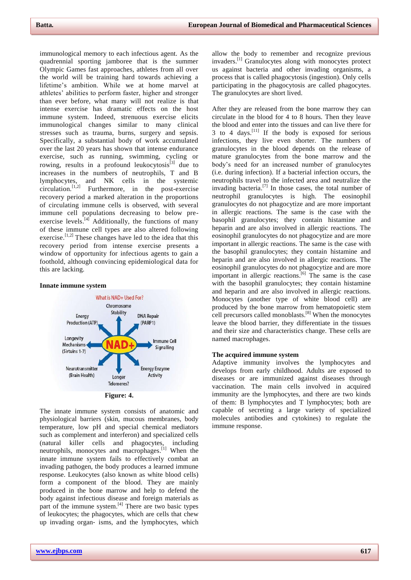immunological memory to each infectious agent. As the quadrennial sporting jamboree that is the summer Olympic Games fast approaches, athletes from all over the world will be training hard towards achieving a lifetime's ambition. While we at home marvel at athletes' abilities to perform faster, higher and stronger than ever before, what many will not realize is that intense exercise has dramatic effects on the host immune system. Indeed, strenuous exercise elicits immunological changes similar to many clinical stresses such as trauma, burns, surgery and sepsis. Specifically, a substantial body of work accumulated over the last 20 years has shown that intense endurance exercise, such as running, swimming, cycling or rowing, results in a profound leukocytosis<sup>[3]</sup> due to increases in the numbers of neutrophils, T and B lymphocytes, and NK cells in the systemic circulation.<sup>[1,2]</sup> Furthermore, in the post-exercise recovery period a marked alteration in the proportions of circulating immune cells is observed, with several immune cell populations decreasing to below preexercise levels.<sup>[4]</sup> Additionally, the functions of many of these immune cell types are also altered following exercise.<sup>[1,2]</sup> These changes have led to the idea that this recovery period from intense exercise presents a window of opportunity for infectious agents to gain a foothold, although convincing epidemiological data for this are lacking.

#### **Innate immune system**



The innate immune system consists of anatomic and physiological barriers (skin, mucous membranes, body temperature, low pH and special chemical mediators such as complement and interferon) and specialized cells (natural killer cells and phagocytes, including neutrophils, monocytes and macrophages.<sup>[1]</sup> When the innate immune system fails to effectively combat an invading pathogen, the body produces a learned immune response. Leukocytes (also known as white blood cells) form a component of the blood. They are mainly produced in the bone marrow and help to defend the body against infectious disease and foreign materials as part of the immune system. [4] There are two basic types of leukocytes; the phagocytes, which are cells that chew up invading organ‐ isms, and the lymphocytes, which

allow the body to remember and recognize previous invaders.<sup>[1]</sup> Granulocytes along with monocytes protect us against bacteria and other invading organisms, a process that is called phagocytosis (ingestion). Only cells participating in the phagocytosis are called phagocytes. The granulocytes are short lived.

After they are released from the bone marrow they can circulate in the blood for 4 to 8 hours. Then they leave the blood and enter into the tissues and can live there for 3 to 4 days.  $\left[11\right]$  If the body is exposed for serious infections, they live even shorter. The numbers of granulocytes in the blood depends on the release of mature granulocytes from the bone marrow and the body's need for an increased number of granulocytes (i.e. during infection). If a bacterial infection occurs, the neutrophils travel to the infected area and neutralize the invading bacteria.<sup>[7]</sup> In those cases, the total number of neutrophil granulocytes is high. The eosinophil granulocytes do not phagocytize and are more important in allergic reactions. The same is the case with the basophil granulocytes; they contain histamine and heparin and are also involved in allergic reactions. The eosinophil granulocytes do not phagocytize and are more important in allergic reactions. The same is the case with the basophil granulocytes; they contain histamine and heparin and are also involved in allergic reactions. The eosinophil granulocytes do not phagocytize and are more important in allergic reactions.<sup>[6]</sup> The same is the case with the basophil granulocytes; they contain histamine and heparin and are also involved in allergic reactions. Monocytes (another type of white blood cell) are produced by the bone marrow from hematopoietic stem cell precursors called monoblasts.<sup>[8]</sup> When the monocytes leave the blood barrier, they differentiate in the tissues and their size and characteristics change. These cells are named macrophages.

#### **The acquired immune system**

Adaptive immunity involves the lymphocytes and develops from early childhood. Adults are exposed to diseases or are immunized against diseases through vaccination. The main cells involved in acquired immunity are the lymphocytes, and there are two kinds of them: B lymphocytes and T lymphocytes; both are capable of secreting a large variety of specialized molecules antibodies and cytokines) to regulate the immune response.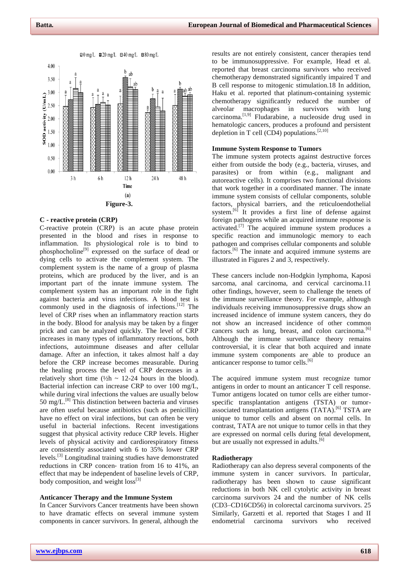

#### **C - reactive protein (CRP)**

C-reactive protein (CRP) is an acute phase protein presented in the blood and rises in response to inflammation. Its physiological role is to bind to phosphocholine<sup>[9]</sup> expressed on the surface of dead or dying cells to activate the complement system. The complement system is the name of a group of plasma proteins, which are produced by the liver, and is an important part of the innate immune system. The complement system has an important role in the fight against bacteria and virus infections. A blood test is commonly used in the diagnosis of infections. [12] The level of CRP rises when an inflammatory reaction starts in the body. Blood for analysis may be taken by a finger prick and can be analyzed quickly. The level of CRP increases in many types of inflammatory reactions, both infections, autoimmune diseases and after cellular damage. After an infection, it takes almost half a day before the CRP increase becomes measurable. During the healing process the level of CRP decreases in a relatively short time  $(\frac{1}{2}h \sim 12{\text -}24$  hours in the blood). Bacterial infection can increase CRP to over 100 mg/L, while during viral infections the values are usually below 50 mg/ $L^{[8]}$  This distinction between bacteria and viruses are often useful because antibiotics (such as penicillin) have no effect on viral infections, but can often be very useful in bacterial infections. Recent investigations suggest that physical activity reduce CRP levels. Higher levels of physical activity and cardiorespiratory fitness are consistently associated with 6 to 35% lower CRP levels.<sup>[3]</sup> Longitudinal training studies have demonstrated reductions in CRP concen‐ tration from 16 to 41%, an effect that may be independent of baseline levels of CRP, body composition, and weight  $loss^{[3]}$ 

#### **Anticancer Therapy and the Immune System**

In Cancer Survivors Cancer treatments have been shown to have dramatic effects on several immune system components in cancer survivors. In general, although the

results are not entirely consistent, cancer therapies tend to be immunosuppressive. For example, Head et al. reported that breast carcinoma survivors who received chemotherapy demonstrated significantly impaired T and B cell response to mitogenic stimulation.18 In addition, Haku et al. reported that platinum-containing systemic chemotherapy significantly reduced the number of alveolar macrophages in survivors with lung carcinoma. $\left[1,9\right]$  Fludarabine, a nucleoside drug used in hematologic cancers, produces a profound and persistent depletion in T cell (CD4) populations.<sup>[2,10]</sup>

#### **Immune System Response to Tumors**

The immune system protects against destructive forces either from outside the body (e.g., bacteria, viruses, and parasites) or from within (e.g., malignant and autoreactive cells). It comprises two functional divisions that work together in a coordinated manner. The innate immune system consists of cellular components, soluble factors, physical barriers, and the reticuloendothelial system.<sup>[6]</sup> It provides a first line of defense against foreign pathogens while an acquired immune response is activated.[7] The acquired immune system produces a specific reaction and immunologic memory to each pathogen and comprises cellular components and soluble factors.[6] The innate and acquired immune systems are illustrated in Figures 2 and 3, respectively.

These cancers include non-Hodgkin lymphoma, Kaposi sarcoma, anal carcinoma, and cervical carcinoma.11 other findings, however, seem to challenge the tenets of the immune surveillance theory. For example, although individuals receiving immunosuppressive drugs show an increased incidence of immune system cancers, they do not show an increased incidence of other common cancers such as lung, breast, and colon carcinoma.<sup>[6]</sup> Although the immune surveillance theory remains controversial, it is clear that both acquired and innate immune system components are able to produce an anticancer response to tumor cells. [6]

The acquired immune system must recognize tumor antigens in order to mount an anticancer T cell response. Tumor antigens located on tumor cells are either tumorspecific transplantation antigens (TSTA) or tumorassociated transplantation antigens (TATA).<sup>[6]</sup> TSTA are unique to tumor cells and absent on normal cells. In contrast, TATA are not unique to tumor cells in that they are expressed on normal cells during fetal development, but are usually not expressed in adults.<sup>[6]</sup>

#### **Radiotherapy**

Radiotherapy can also depress several components of the immune system in cancer survivors. In particular, radiotherapy has been shown to cause significant reductions in both NK cell cytolytic activity in breast carcinoma survivors 24 and the number of NK cells (CD3–CD16CD56) in colorectal carcinoma survivors. 25 Similarly, Garzetti et al. reported that Stages I and II endometrial carcinoma survivors who received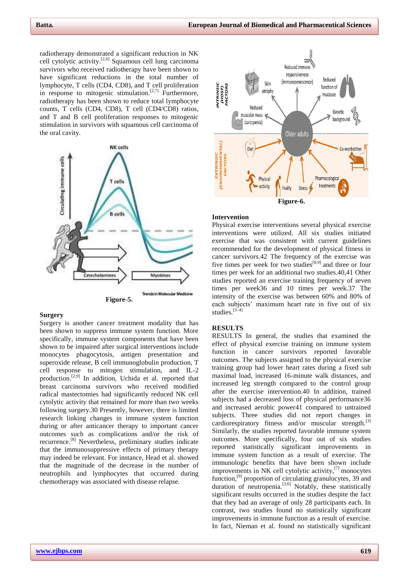radiotherapy demonstrated a significant reduction in NK cell cytolytic activity.<sup>[2,6]</sup> Squamous cell lung carcinoma survivors who received radiotherapy have been shown to have significant reductions in the total number of lymphocyte, T cells (CD4, CD8), and T cell proliferation in response to mitogenic stimulation.<sup>[2,7]</sup> Furthermore, radiotherapy has been shown to reduce total lymphocyte counts, T cells (CD4, CD8), T cell (CD4/CD8) ratios, and T and B cell proliferation responses to mitogenic stimulation in survivors with squamous cell carcinoma of the oral cavity.



#### **Surgery**

Surgery is another cancer treatment modality that has been shown to suppress immune system function. More specifically, immune system components that have been shown to be impaired after surgical interventions include monocytes phagocytosis, antigen presentation and superoxide release, B cell immunoglobulin production, T cell response to mitogen stimulation, and IL-2 production.<sup>[2,9]</sup> In addition, Uchida et al. reported that breast carcinoma survivors who received modified radical mastectomies had significantly reduced NK cell cytolytic activity that remained for more than two weeks following surgery.30 Presently, however, there is limited research linking changes in immune system function during or after anticancer therapy to important cancer outcomes such as complications and/or the risk of recurrence.<sup>[8]</sup> Nevertheless, preliminary studies indicate that the immunosuppressive effects of primary therapy may indeed be relevant. For instance, Head et al. showed that the magnitude of the decrease in the number of neutrophils and lymphocytes that occurred during chemotherapy was associated with disease relapse.



#### **Intervention**

Physical exercise interventions several physical exercise interventions were utilized. All six studies initiated exercise that was consistent with current guidelines recommended for the development of physical fitness in cancer survivors.42 The frequency of the exercise was five times per week for two studies<sup>[8,9]</sup> and three or four times per week for an additional two studies.40,41 Other studies reported an exercise training frequency of seven times per week36 and 10 times per week.37 The intensity of the exercise was between 60% and 80% of each subjects' maximum heart rate in five out of six studies. $[3-4]$ 

### **RESULTS**

RESULTS In general, the studies that examined the effect of physical exercise training on immune system function in cancer survivors reported favorable outcomes. The subjects assigned to the physical exercise training group had lower heart rates during a fixed sub maximal load, increased 16-minute walk distances, and increased leg strength compared to the control group after the exercise intervention.40 In addition, trained subjects had a decreased loss of physical performance36 and increased aerobic power41 compared to untrained subjects. Three studies did not report changes in cardiorespiratory fitness and/or muscular strength. $^{[3]}$ Similarly, the studies reported favorable immune system outcomes. More specifically, four out of six studies reported statistically significant improvements in immune system function as a result of exercise. The immunologic benefits that have been shown include improvements in NK cell cytolytic activity, $^{[7]}$  monocytes function,<sup>[9]</sup> proportion of circulating granulocytes, 39 and duration of neutropenia.<sup>[3,6]</sup> Notably, these statistically significant results occurred in the studies despite the fact that they had an average of only 28 participants each. In contrast, two studies found no statistically significant improvements in immune function as a result of exercise. In fact, Nieman et al. found no statistically significant